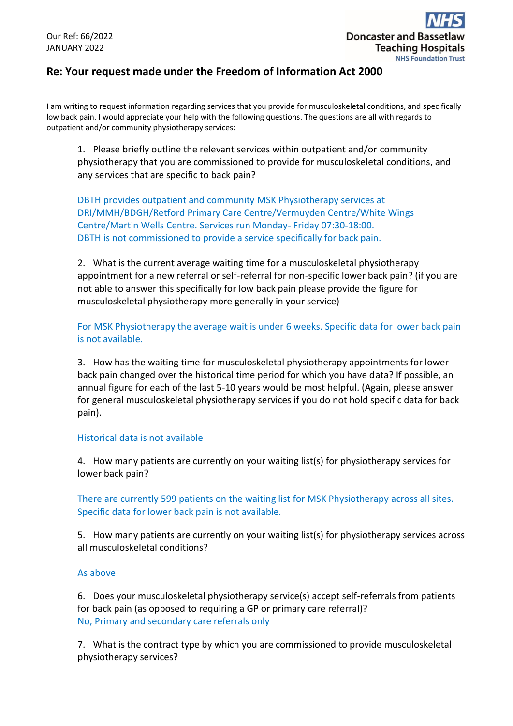## **Re: Your request made under the Freedom of Information Act 2000**

I am writing to request information regarding services that you provide for musculoskeletal conditions, and specifically low back pain. I would appreciate your help with the following questions. The questions are all with regards to outpatient and/or community physiotherapy services:

1. Please briefly outline the relevant services within outpatient and/or community physiotherapy that you are commissioned to provide for musculoskeletal conditions, and any services that are specific to back pain?

DBTH provides outpatient and community MSK Physiotherapy services at DRI/MMH/BDGH/Retford Primary Care Centre/Vermuyden Centre/White Wings Centre/Martin Wells Centre. Services run Monday- Friday 07:30-18:00. DBTH is not commissioned to provide a service specifically for back pain.

2. What is the current average waiting time for a musculoskeletal physiotherapy appointment for a new referral or self-referral for non-specific lower back pain? (if you are not able to answer this specifically for low back pain please provide the figure for musculoskeletal physiotherapy more generally in your service)

For MSK Physiotherapy the average wait is under 6 weeks. Specific data for lower back pain is not available.

3. How has the waiting time for musculoskeletal physiotherapy appointments for lower back pain changed over the historical time period for which you have data? If possible, an annual figure for each of the last 5-10 years would be most helpful. (Again, please answer for general musculoskeletal physiotherapy services if you do not hold specific data for back pain).

## Historical data is not available

4. How many patients are currently on your waiting list(s) for physiotherapy services for lower back pain?

There are currently 599 patients on the waiting list for MSK Physiotherapy across all sites. Specific data for lower back pain is not available.

5. How many patients are currently on your waiting list(s) for physiotherapy services across all musculoskeletal conditions?

## As above

6. Does your musculoskeletal physiotherapy service(s) accept self-referrals from patients for back pain (as opposed to requiring a GP or primary care referral)? No, Primary and secondary care referrals only

7. What is the contract type by which you are commissioned to provide musculoskeletal physiotherapy services?